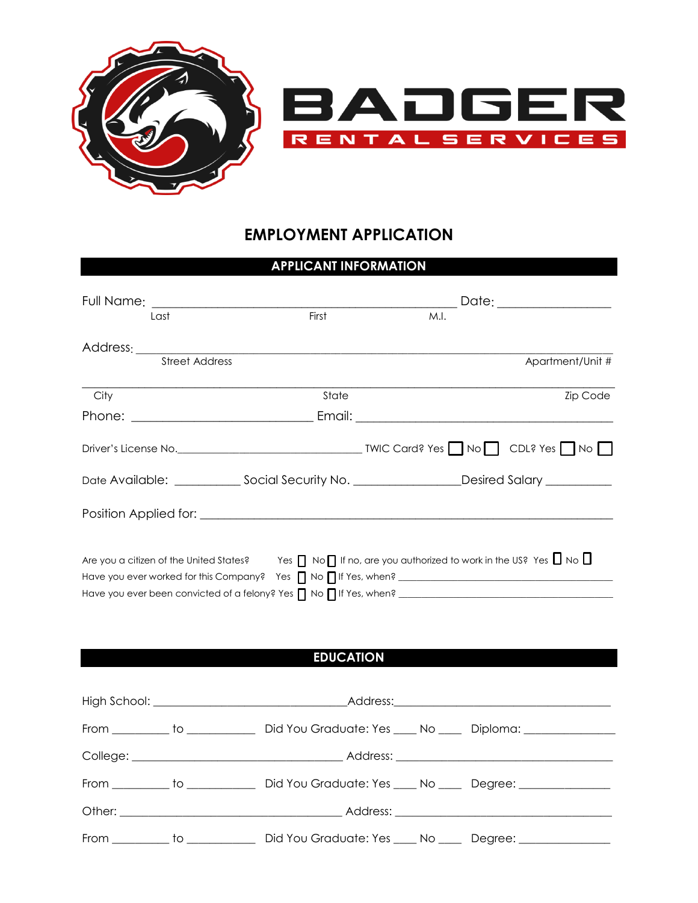



## **EMPLOYMENT APPLICATION**

## **APPLICANT INFORMATION**

| Last                  | First            | M.I.                                                                                                                           |                  |
|-----------------------|------------------|--------------------------------------------------------------------------------------------------------------------------------|------------------|
|                       |                  |                                                                                                                                |                  |
| <b>Street Address</b> |                  |                                                                                                                                | Apartment/Unit # |
| City                  | State            |                                                                                                                                | <b>Zip Code</b>  |
|                       |                  |                                                                                                                                |                  |
|                       |                  |                                                                                                                                |                  |
|                       |                  |                                                                                                                                |                  |
|                       |                  |                                                                                                                                |                  |
|                       |                  | Are you a citizen of the United States? Yes $\Box$ No $\Box$ If no, are you authorized to work in the US? Yes $\Box$ No $\Box$ |                  |
|                       | <b>EDUCATION</b> |                                                                                                                                |                  |

|  |                                                                                                      | Address: 2008 and 2008 and 2008 and 2008 and 2008 and 2008 and 2008 and 2008 and 2008 and 2008 and 2008 and 20 |
|--|------------------------------------------------------------------------------------------------------|----------------------------------------------------------------------------------------------------------------|
|  | From __________ to __________________ Did You Graduate: Yes _____ No ______ Diploma: _______________ |                                                                                                                |
|  |                                                                                                      |                                                                                                                |
|  | From __________ to __________________ Did You Graduate: Yes ____ No ______ Degree: ________________  |                                                                                                                |
|  |                                                                                                      |                                                                                                                |
|  | From __________ to _________________ Did You Graduate: Yes ____ No ______ Degree: _________________  |                                                                                                                |